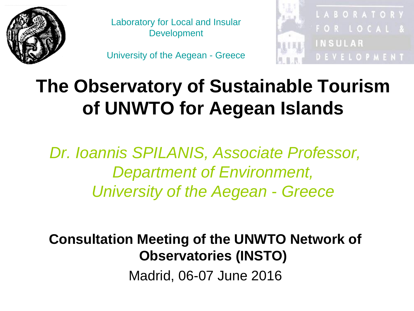

Laboratory for Local and Insular **Development** 

University of the Aegean - Greece



#### **The Observatory of Sustainable Tourism of UNWTO for Aegean Islands**

*Dr. Ioannis SPILANIS, Associate Professor, Department of Environment, University of the Aegean* - *Greece*

**Consultation Meeting of the UNWTO Network of Observatories (INSTO)** Madrid, 06-07 June 2016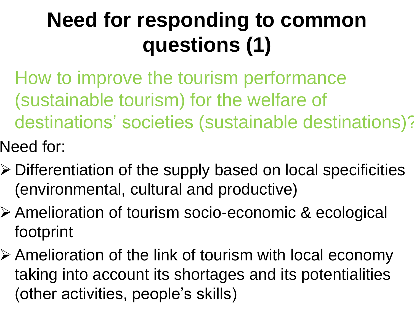## **Need for responding to common questions (1)**

- How to improve the tourism performance (sustainable tourism) for the welfare of destinations' societies (sustainable destinations)?
- Need for:
- Differentiation of the supply based on local specificities (environmental, cultural and productive)
- Amelioration of tourism socio-economic & ecological footprint
- Amelioration of the link of tourism with local economy taking into account its shortages and its potentialities (other activities, people's skills)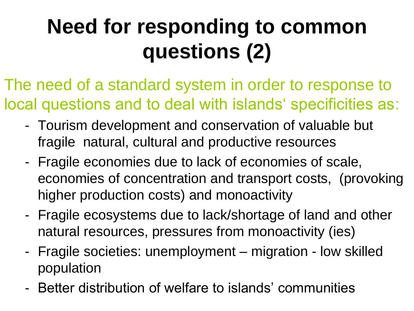# **Need for responding to common questions (2)**

- The need of a standard system in order to response to local questions and to deal with islands' specificities as:
	- Tourism development and conservation of valuable but fragile natural, cultural and productive resources
	- Fragile economies due to lack of economies of scale, economies of concentration and transport costs, (provoking higher production costs) and monoactivity
	- Fragile ecosystems due to lack/shortage of land and other natural resources, pressures from monoactivity (ies)
	- Fragile societies: unemployment migration low skilled population
	- Better distribution of welfare to islands' communities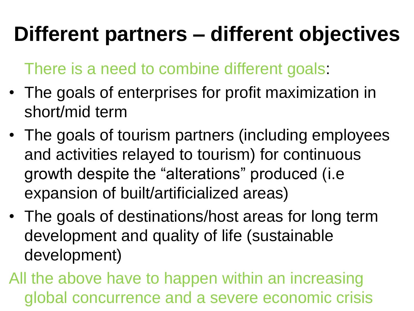#### **Different partners – different objectives**

There is a need to combine different goals:

- The goals of enterprises for profit maximization in short/mid term
- The goals of tourism partners (including employees and activities relayed to tourism) for continuous growth despite the "alterations" produced (i.e expansion of built/artificialized areas)
- The goals of destinations/host areas for long term development and quality of life (sustainable development)

All the above have to happen within an increasing global concurrence and a severe economic crisis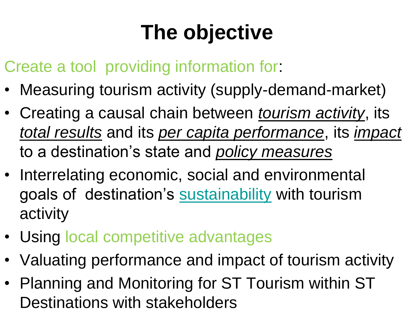# **The objective**

Create a tool providing information for:

- Measuring tourism activity (supply-demand-market)
- Creating a causal chain between *tourism activity*, its *total results* and its *per capita performance*, its *impact* to a destination's state and *policy measures*
- Interrelating economic, social and environmental goals of destination's [sustainability](#page-15-0) with tourism activity
- Using local competitive advantages
- Valuating performance and impact of tourism activity
- <span id="page-4-0"></span>• Planning and Monitoring for ST Tourism within ST Destinations with stakeholders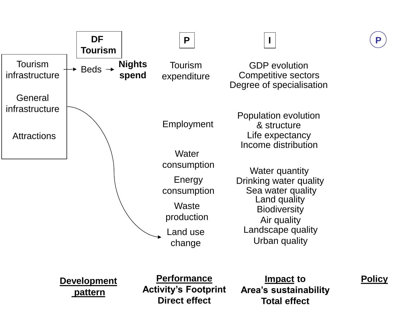

**P**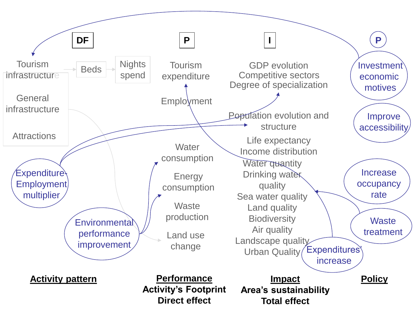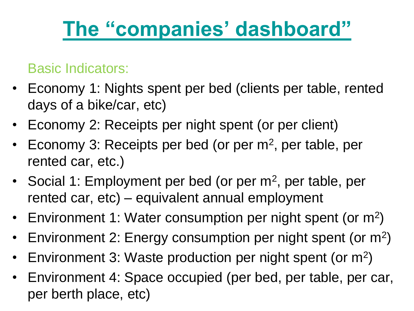#### **[The "companies' dashboard"](#page-8-0)**

#### Basic Indicators:

- Economy 1: Nights spent per bed (clients per table, rented days of a bike/car, etc)
- Economy 2: Receipts per night spent (or per client)
- Economy 3: Receipts per bed (or per m<sup>2</sup>, per table, per rented car, etc.)
- Social 1: Employment per bed (or per m<sup>2</sup>, per table, per rented car, etc) – equivalent annual employment
- Environment 1: Water consumption per night spent (or m<sup>2</sup>)
- Environment 2: Energy consumption per night spent (or m<sup>2</sup>)
- Environment 3: Waste production per night spent (or m<sup>2</sup>)
- Environment 4: Space occupied (per bed, per table, per car, per berth place, etc)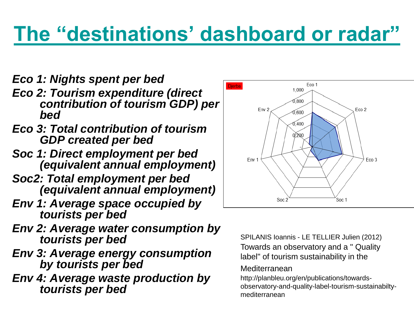#### **[The "destinations' dashboard or radar"](#page-14-0)**

- *Eco 1: Nights spent per bed*
- *Eco 2: Tourism expenditure (direct contribution of tourism GDP) per bed*
- *Eco 3: Total contribution of tourism GDP created per bed*
- *Soc 1: Direct employment per bed (equivalent annual employment)*
- *Soc2: Total employment per bed (equivalent annual employment)*
- *Env 1: Average space occupied by tourists per bed*
- *Env 2: Average water consumption by tourists per bed*
- *Env 3: Average energy consumption by tourists per bed*
- <span id="page-8-0"></span>*Env 4: Average waste production by tourists per bed*



SPILANIS Ioannis - LE TELLIER Julien (2012) Towards an observatory and a " Quality label" of tourism sustainability in the

#### Mediterranean

http://planbleu.org/en/publications/towardsobservatory-and-quality-label-tourism-sustainabiltymediterranean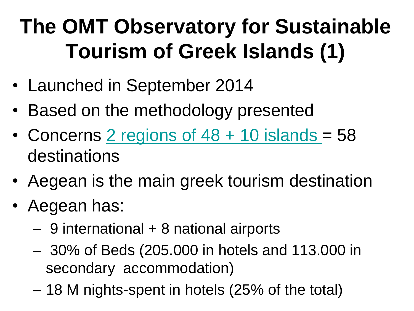# **The OMT Observatory for Sustainable Tourism of Greek Islands (1)**

- Launched in September 2014
- Based on the methodology presented
- Concerns 2 regions of  $48 + 10$  islands = 58 destinations
- Aegean is the main greek tourism destination
- <span id="page-9-0"></span>• Aegean has:
	- 9 international + 8 national airports
	- 30% of Beds (205.000 in hotels and 113.000 in secondary accommodation)
	- 18 M nights-spent in hotels (25% of the total)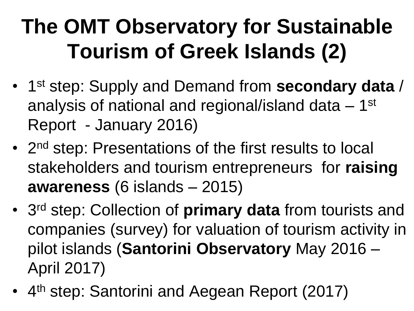# **The OMT Observatory for Sustainable Tourism of Greek Islands (2)**

- 1 st step: Supply and Demand from **secondary data** / analysis of national and regional/island data - 1<sup>st</sup> Report - January 2016)
- 2<sup>nd</sup> step: Presentations of the first results to local stakeholders and tourism entrepreneurs for **raising awareness** (6 islands – 2015)
- 3 rd step: Collection of **primary data** from tourists and companies (survey) for valuation of tourism activity in pilot islands (**Santorini Observatory** May 2016 – April 2017)
- 4<sup>th</sup> step: Santorini and Aegean Report (2017)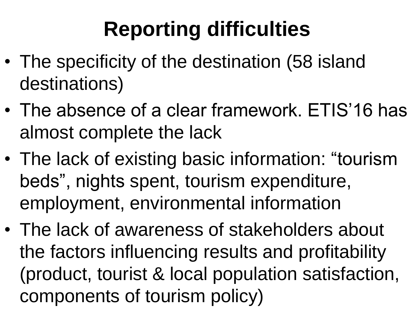# **Reporting difficulties**

- The specificity of the destination (58 island destinations)
- The absence of a clear framework. ETIS'16 has almost complete the lack
- The lack of existing basic information: "tourism beds", nights spent, tourism expenditure, employment, environmental information
- The lack of awareness of stakeholders about the factors influencing results and profitability (product, tourist & local population satisfaction, components of tourism policy)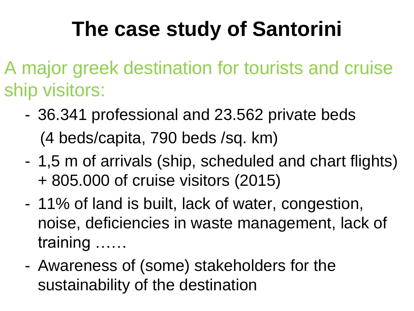#### **The case study of Santorini**

A major greek destination for tourists and cruise ship visitors:

- 36.341 professional and 23.562 private beds (4 beds/capita, 790 beds /sq. km)
- 1,5 m of arrivals (ship, scheduled and chart flights) + 805.000 of cruise visitors (2015)
- 11% of land is built, lack of water, congestion, noise, deficiencies in waste management, lack of training ……
- Awareness of (some) stakeholders for the sustainability of the destination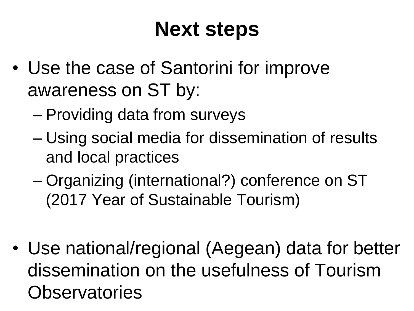#### **Next steps**

- Use the case of Santorini for improve awareness on ST by:
	- Providing data from surveys
	- Using social media for dissemination of results and local practices
	- Organizing (international?) conference on ST (2017 Year of Sustainable Tourism)
- Use national/regional (Aegean) data for better dissemination on the usefulness of Tourism **Observatories**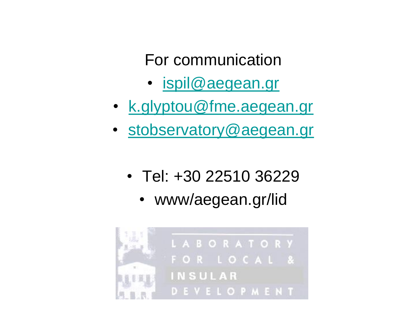For communication

- [ispil@aegean.gr](mailto:ispil@aegean.gr)
- [k.glyptou@fme.aegean.gr](mailto:k.glyptou@fme.aegean.gr)
- [stobservatory@aegean.gr](https://panas.aegean.gr/owa/redir.aspx?C=4ArqqLBXHEGdCYPV-5TtNk0nEEeTmNBIS1iXvck_PvshTvmiNNq5CM_fYq5OnHcScsb8uv7ETNA.&URL=mailto:stobservatory@aegean.gr)
	- Tel: +30 22510 36229
		- www/aegean.gr/lid

<span id="page-14-0"></span>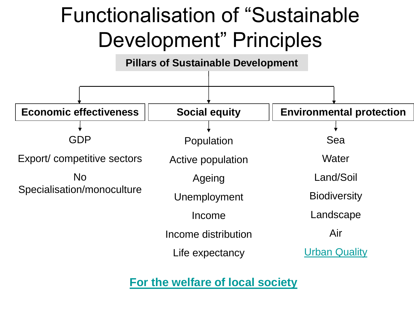#### Functionalisation of "Sustainable Development" Principles

#### **Economic effectiveness | Social equity | Environmental protection** GDP Export/ competitive sectors No Specialisation/monoculture Population Active population Ageing Unemployment Income Income distribution Life expectancy Sea **Water** Land/Soil **Biodiversity** Landscape Air **[Urban Quality](#page-14-0) Pillars of Sustainable Development**

<span id="page-15-0"></span>**[For the welfare of local society](#page-4-0)**